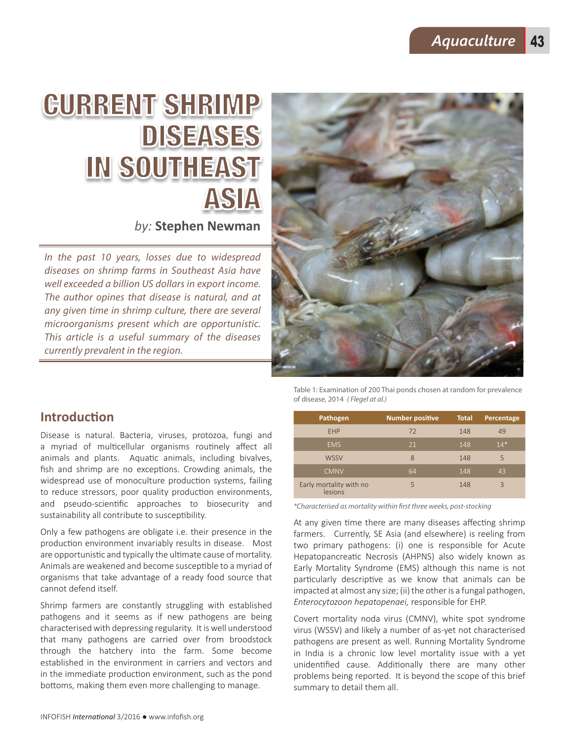# CURRENT SHRIMP DISEASES IN SOUTHEAST ASIA

*by:* **Stephen Newman**

*In the past 10 years, losses due to widespread diseases on shrimp farms in Southeast Asia have well exceeded a billion US dollars in export income. The author opines that disease is natural, and at any given time in shrimp culture, there are several microorganisms present which are opportunistic. This article is a useful summary of the diseases currently prevalent in the region.* 



**Introduction** 

Disease is natural. Bacteria, viruses, protozoa, fungi and a myriad of multicellular organisms routinely affect all animals and plants. Aquatic animals, including bivalves, fish and shrimp are no exceptions. Crowding animals, the widespread use of monoculture production systems, failing to reduce stressors, poor quality production environments, and pseudo-scientific approaches to biosecurity and sustainability all contribute to susceptibility.

Only a few pathogens are obligate i.e. their presence in the production environment invariably results in disease. Most are opportunistic and typically the ultimate cause of mortality. Animals are weakened and become susceptible to a myriad of organisms that take advantage of a ready food source that cannot defend itself.

Shrimp farmers are constantly struggling with established pathogens and it seems as if new pathogens are being characterised with depressing regularity. It is well understood that many pathogens are carried over from broodstock through the hatchery into the farm. Some become established in the environment in carriers and vectors and in the immediate production environment, such as the pond bottoms, making them even more challenging to manage.

Table 1: Examination of 200 Thai ponds chosen at random for prevalence of disease, 2014 *( Flegel at al.)* 

| Pathogen                           | <b>Number positive</b> | <b>Total</b> | Percentage               |
|------------------------------------|------------------------|--------------|--------------------------|
| <b>FHP</b>                         | 72                     | 148          | 49                       |
| <b>EMS</b>                         | 21                     | 148          | $14*$                    |
| <b>WSSV</b>                        | 8                      | 148          | 5                        |
| <b>CMNV</b>                        | 64                     | 148          | 43                       |
| Early mortality with no<br>lesions | 5                      | 148          | $\overline{\mathcal{L}}$ |

*\*Characterised as mortality within first three weeks, post-stocking*

At any given time there are many diseases affecting shrimp farmers. Currently, SE Asia (and elsewhere) is reeling from two primary pathogens: (i) one is responsible for Acute Hepatopancreatic Necrosis (AHPNS) also widely known as Early Mortality Syndrome (EMS) although this name is not particularly descriptive as we know that animals can be impacted at almost any size; (ii) the other is a fungal pathogen, *Enterocytozoon hepatopenaei,* responsible for EHP.

Covert mortality noda virus (CMNV), white spot syndrome virus (WSSV) and likely a number of as-yet not characterised pathogens are present as well. Running Mortality Syndrome in India is a chronic low level mortality issue with a yet unidentified cause. Additionally there are many other problems being reported. It is beyond the scope of this brief summary to detail them all.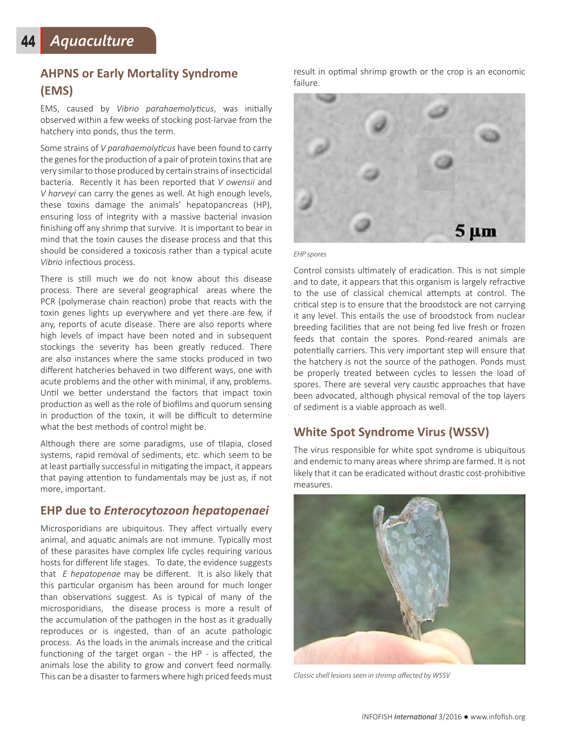# **AHPNS or Early Mortality Syndrome (EMS)**

EMS, caused by *Vibrio parahaemolyticus*, was initially observed within a few weeks of stocking post-larvae from the hatchery into ponds, thus the term.

Some strains of *V parahaemolyticus* have been found to carry the genes for the production of a pair of protein toxins that are very similar to those produced by certain strains of insecticidal bacteria. Recently it has been reported that *V owensii* and *V harveyi* can carry the genes as well. At high enough levels, these toxins damage the animals' hepatopancreas (HP), ensuring loss of integrity with a massive bacterial invasion finishing off any shrimp that survive. It is important to bear in mind that the toxin causes the disease process and that this should be considered a toxicosis rather than a typical acute *Vibrio* infectious process.

There is still much we do not know about this disease process. There are several geographical areas where the PCR (polymerase chain reaction) probe that reacts with the toxin genes lights up everywhere and yet there are few, if any, reports of acute disease. There are also reports where high levels of impact have been noted and in subsequent stockings the severity has been greatly reduced. There are also instances where the same stocks produced in two different hatcheries behaved in two different ways, one with acute problems and the other with minimal, if any, problems. Until we better understand the factors that impact toxin production as well as the role of biofilms and quorum sensing in production of the toxin, it will be difficult to determine what the best methods of control might be.

Although there are some paradigms, use of tilapia, closed systems, rapid removal of sediments, etc. which seem to be at least partially successful in mitigating the impact, it appears that paying attention to fundamentals may be just as, if not more, important.

#### **EHP due to** *Enterocytozoon hepatopenaei*

Microsporidians are ubiquitous. They affect virtually every animal, and aquatic animals are not immune. Typically most of these parasites have complex life cycles requiring various hosts for different life stages. To date, the evidence suggests that *E hepatopenae* may be different. It is also likely that this particular organism has been around for much longer than observations suggest. As is typical of many of the microsporidians, the disease process is more a result of the accumulation of the pathogen in the host as it gradually reproduces or is ingested, than of an acute pathologic process. As the loads in the animals increase and the critical functioning of the target organ - the HP - is affected, the animals lose the ability to grow and convert feed normally. This can be a disaster to farmers where high priced feeds must result in optimal shrimp growth or the crop is an economic failure.



#### *EHP spores*

Control consists ultimately of eradication. This is not simple and to date, it appears that this organism is largely refractive to the use of classical chemical attempts at control. The critical step is to ensure that the broodstock are not carrying it any level. This entails the use of broodstock from nuclear breeding facilities that are not being fed live fresh or frozen feeds that contain the spores. Pond-reared animals are potentially carriers. This very important step will ensure that the hatchery is not the source of the pathogen. Ponds must be properly treated between cycles to lessen the load of spores. There are several very caustic approaches that have been advocated, although physical removal of the top layers of sediment is a viable approach as well.

#### **White Spot Syndrome Virus (WSSV)**

The virus responsible for white spot syndrome is ubiquitous and endemic to many areas where shrimp are farmed. It is not likely that it can be eradicated without drastic cost-prohibitive measures.



*Classic shell lesions seen in shrimp affected by WSSV*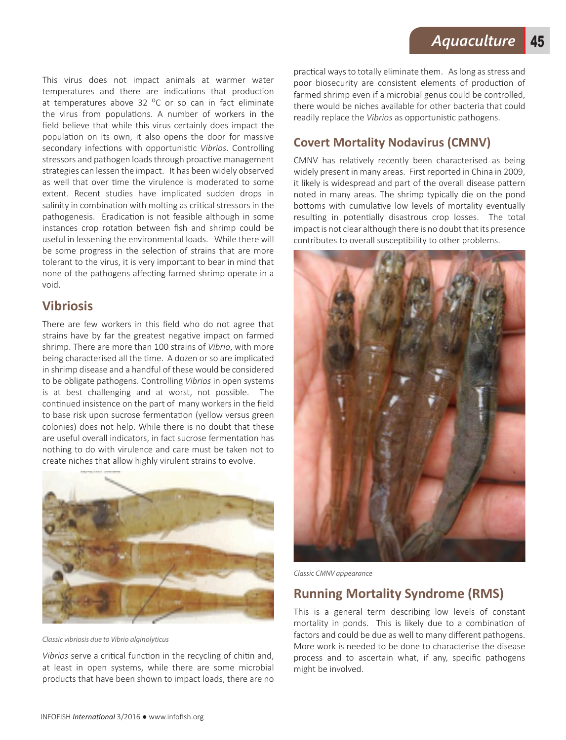This virus does not impact animals at warmer water temperatures and there are indications that production at temperatures above 32  $^{\circ}$ C or so can in fact eliminate the virus from populations. A number of workers in the field believe that while this virus certainly does impact the population on its own, it also opens the door for massive secondary infections with opportunistic *Vibrios*. Controlling stressors and pathogen loads through proactive management strategies can lessen the impact. It has been widely observed as well that over time the virulence is moderated to some extent. Recent studies have implicated sudden drops in salinity in combination with molting as critical stressors in the pathogenesis. Eradication is not feasible although in some instances crop rotation between fish and shrimp could be useful in lessening the environmental loads. While there will be some progress in the selection of strains that are more tolerant to the virus, it is very important to bear in mind that none of the pathogens affecting farmed shrimp operate in a void.

### **Vibriosis**

There are few workers in this field who do not agree that strains have by far the greatest negative impact on farmed shrimp. There are more than 100 strains of *Vibrio*, with more being characterised all the time. A dozen or so are implicated in shrimp disease and a handful of these would be considered to be obligate pathogens. Controlling *Vibrios* in open systems is at best challenging and at worst, not possible. The continued insistence on the part of many workers in the field to base risk upon sucrose fermentation (yellow versus green colonies) does not help. While there is no doubt that these are useful overall indicators, in fact sucrose fermentation has nothing to do with virulence and care must be taken not to create niches that allow highly virulent strains to evolve.



*Classic vibriosis due to Vibrio alginolyticus* 

*Vibrios* serve a critical function in the recycling of chitin and, at least in open systems, while there are some microbial products that have been shown to impact loads, there are no

practical ways to totally eliminate them. As long as stress and poor biosecurity are consistent elements of production of farmed shrimp even if a microbial genus could be controlled, there would be niches available for other bacteria that could readily replace the *Vibrios* as opportunistic pathogens.

# **Covert Mortality Nodavirus (CMNV)**

CMNV has relatively recently been characterised as being widely present in many areas. First reported in China in 2009, it likely is widespread and part of the overall disease pattern noted in many areas. The shrimp typically die on the pond bottoms with cumulative low levels of mortality eventually resulting in potentially disastrous crop losses. The total impact is not clear although there is no doubt that its presence contributes to overall susceptibility to other problems.



*Classic CMNV appearance*

## **Running Mortality Syndrome (RMS)**

This is a general term describing low levels of constant mortality in ponds. This is likely due to a combination of factors and could be due as well to many different pathogens. More work is needed to be done to characterise the disease process and to ascertain what, if any, specific pathogens might be involved.